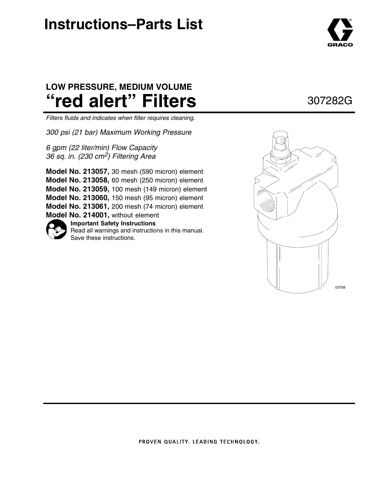# **Instructions–Parts List**



## **LOW PRESSURE, MEDIUM VOLUME "red alert" Filters**

*Filters fluids and indicates when filter requires cleaning.*

*300 psi (21 bar) Maximum Working Pressure*

*6 gpm (22 liter/min) Flow Capacity 36 sq. in. (230 cm2) Filtering Area*

**Important Safety Instructions** Read all warnings and instructions in this manual. **Model No. 213057,** 30 mesh (590 micron) element **Model No. 213058,** 60 mesh (250 micron) element **Model No. 213059,** 100 mesh (149 micron) element **Model No. 213060,** 150 mesh (95 micron) element **Model No. 213061,** 200 mesh (74 micron) element **Model No. 214001,** without element

Save these instructions.





### 307282G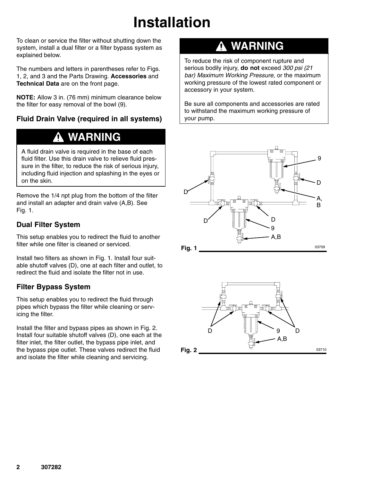# **Installation**

To clean or service the filter without shutting down the system, install a dual filter or a filter bypass system as explained below.

The numbers and letters in parentheses refer to Figs. 1, 2, and 3 and the Parts Drawing. **Accessories** and **Technical Data** are on the front page.

**NOTE:** Allow 3 in. (76 mm) minimum clearance below the filter for easy removal of the bowl (9).

### **Fluid Drain Valve (required in all systems)**

### **WARNING**

A fluid drain valve is required in the base of each fluid filter. Use this drain valve to relieve fluid pressure in the filter, to reduce the risk of serious injury, including fluid injection and splashing in the eyes or on the skin.

Remove the 1/4 npt plug from the bottom of the filter and install an adapter and drain valve (A,B). See Fig. 1.

### **Dual Filter System**

This setup enables you to redirect the fluid to another filter while one filter is cleaned or serviced.

Install two filters as shown in Fig. 1. Install four suitable shutoff valves (D), one at each filter and outlet, to redirect the fluid and isolate the filter not in use.

### **Filter Bypass System**

This setup enables you to redirect the fluid through pipes which bypass the filter while cleaning or servicing the filter.

Install the filter and bypass pipes as shown in Fig. 2. Install four suitable shutoff valves (D), one each at the filter inlet, the filter outlet, the bypass pipe inlet, and the bypass pipe outlet. These valves redirect the fluid and isolate the filter while cleaning and servicing.

## **WARNING**

To reduce the risk of component rupture and serious bodily injury, **do not** exceed *300 psi (21 bar) Maximum Working Pressure*, or the maximum working pressure of the lowest rated component or accessory in your system.

Be sure all components and accessories are rated to withstand the maximum working pressure of your pump.



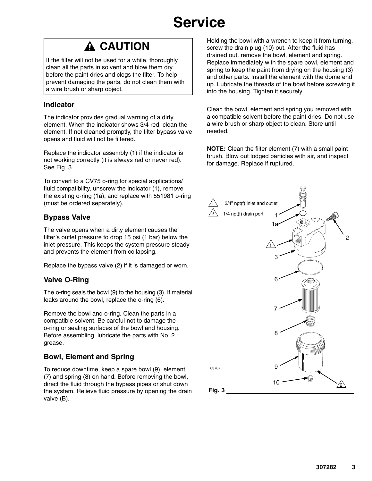# **Service**

## **A CAUTION**

If the filter will not be used for a while, thoroughly clean all the parts in solvent and blow them dry before the paint dries and clogs the filter. To help prevent damaging the parts, do not clean them with a wire brush or sharp object.

### **Indicator**

The indicator provides gradual warning of a dirty element. When the indicator shows 3/4 red, clean the element. If not cleaned promptly, the filter bypass valve opens and fluid will not be filtered.

Replace the indicator assembly (1) if the indicator is not working correctly (it is always red or never red). See Fig. 3.

To convert to a CV75 o-ring for special applications/ fluid compatibility, unscrew the indicator (1), remove the existing o-ring (1a), and replace with 551981 o-ring (must be ordered separately).

### **Bypass Valve**

The valve opens when a dirty element causes the filter's outlet pressure to drop 15 psi (1 bar) below the inlet pressure. This keeps the system pressure steady and prevents the element from collapsing.

Replace the bypass valve (2) if it is damaged or worn.

### **Valve O-Ring**

The o-ring seals the bowl (9) to the housing (3). If material leaks around the bowl, replace the o-ring (6).

Remove the bowl and o-ring. Clean the parts in a compatible solvent. Be careful not to damage the o-ring or sealing surfaces of the bowl and housing. Before assembling, lubricate the parts with No. 2 grease.

### **Bowl, Element and Spring**

To reduce downtime, keep a spare bowl (9), element (7) and spring (8) on hand. Before removing the bowl, direct the fluid through the bypass pipes or shut down the system. Relieve fluid pressure by opening the drain valve (B).

Holding the bowl with a wrench to keep it from turning, screw the drain plug (10) out. After the fluid has drained out, remove the bowl, element and spring. Replace immediately with the spare bowl, element and spring to keep the paint from drying on the housing (3) and other parts. Install the element with the dome end up. Lubricate the threads of the bowl before screwing it into the housing. Tighten it securely.

Clean the bowl, element and spring you removed with a compatible solvent before the paint dries. Do not use a wire brush or sharp object to clean. Store until needed.

**NOTE:** Clean the filter element (7) with a small paint brush. Blow out lodged particles with air, and inspect for damage. Replace if ruptured.

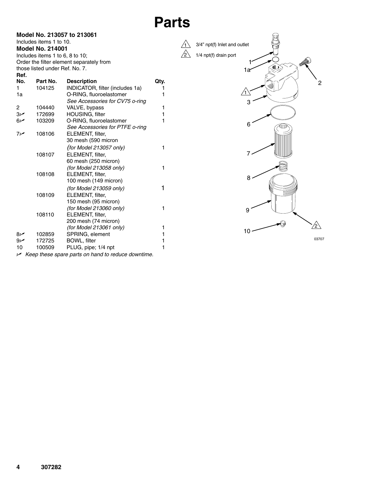#### **Model No. 213057 to 213061** Includes items 1 to 10.

**Model No. 214001** Includes items 1 to 6, 8 to 10; Order the filter element separately from those listed under Ref. No. 7.

| Ref.           |          |                                                           |              |
|----------------|----------|-----------------------------------------------------------|--------------|
| No.            | Part No. | <b>Description</b>                                        | Qty.         |
| 1              | 104125   | INDICATOR, filter (includes 1a)                           | 1            |
| 1a             |          | O-RING, fluoroelastomer                                   | 1            |
|                |          | See Accessories for CV75 o-ring                           |              |
| 2              | 104440   | VALVE, bypass                                             | 1            |
| $3\nu$         | 172699   | HOUSING, filter                                           | 1            |
| 6 <sub>1</sub> | 103209   | O-RING, fluoroelastomer                                   | $\mathbf{1}$ |
|                |          | See Accessories for PTFE o-ring                           |              |
| سما7           | 108106   | ELEMENT, filter,                                          |              |
|                |          | 30 mesh (590 micron                                       |              |
|                |          | (for Model 213057 only)                                   | 1            |
|                | 108107   | ELEMENT, filter,                                          |              |
|                |          | 60 mesh (250 micron)                                      |              |
|                |          | (for Model 213058 only)                                   | 1            |
|                | 108108   | ELEMENT, filter,                                          |              |
|                |          | 100 mesh (149 micron)                                     |              |
|                |          | (for Model 213059 only)                                   | 1            |
|                | 108109   | ELEMENT, filter,                                          |              |
|                |          | 150 mesh (95 micron)                                      |              |
|                |          | (for Model 213060 only)                                   | 1            |
|                | 108110   | ELEMENT, filter,                                          |              |
|                |          | 200 mesh (74 micron)                                      |              |
|                |          | (for Model 213061 only)                                   | 1            |
| $8\nu$         | 102859   | SPRING, element                                           | 1            |
| سما9           | 172725   | <b>BOWL, filter</b>                                       | 1            |
| 10             | 100509   | PLUG, pipe; 1/4 npt                                       | 1            |
|                |          | $\sim$ Keep these spare parts on hand to reduce downtime. |              |



03707



**Parts**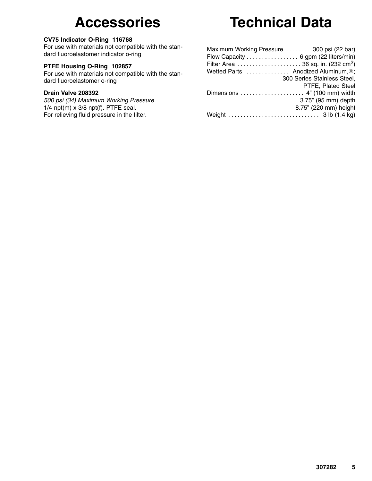## **Accessories**

#### **CV75 Indicator O-Ring 116768**

For use with materials not compatible with the standard fluoroelastomer indicator o-ring

#### **PTFE Housing O-Ring 102857**

For use with materials not compatible with the standard fluoroelastomer o-ring

#### **Drain Valve 208392**

*500 psi (34) Maximum Working Pressure* 1/4 npt $(m)$  x 3/8 npt $(f)$ . PTFE seal. For relieving fluid pressure in the filter.

# **Technical Data**

| Maximum Working Pressure  300 psi (22 bar) |
|--------------------------------------------|
| Flow Capacity 6 gpm (22 liters/min)        |
|                                            |
| Wetted Parts  Anodized Aluminum, ®;        |
| 300 Series Stainless Steel,                |
| PTFE, Plated Steel                         |
|                                            |
| 3.75" (95 mm) depth                        |
| 8.75" (220 mm) height                      |
|                                            |
|                                            |